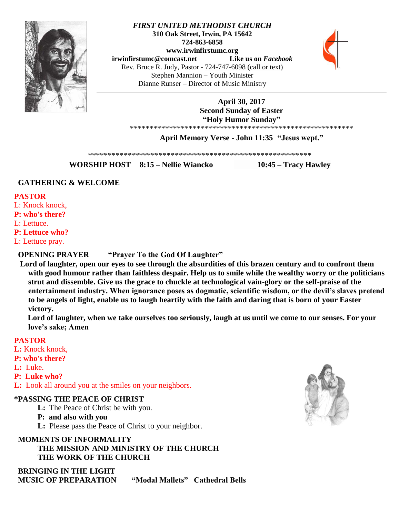

# *FIRST UNITED METHODIST CHURCH* **310 Oak Street, Irwin, PA 15642 724-863-6858 www.irwinfirstumc.org [irwinfirstumc@comcast.net](mailto:irwinfirstumc@comcast.net) Like us on** *Facebook* Rev. Bruce R. Judy, Pastor - 724-747-6098 (call or text) Stephen Mannion – Youth Minister Dianne Runser – Director of Music Ministry



**April 30, 2017 Second Sunday of Easter "Holy Humor Sunday"** \*\*\*\*\*\*\*\*\*\*\*\*\*\*\*\*\*\*\*\*\*\*\*\*\*\*\*\*\*\*\*\*\*\*\*\*\*\*\*\*\*\*\*\*\*\*\*\*\*\*\*\*\*\*\*\*\*

**April Memory Verse - John 11:35 "Jesus wept."**

\*\*\*\*\*\*\*\*\*\*\*\*\*\*\*\*\*\*\*\*\*\*\*\*\*\*\*\*\*\*\*\*\*\*\*\*\*\*\*\*\*\*\*\*\*\*\*\*\*\*\*\*\*\*\*\*\*

**WORSHIP HOST 8:15 – Nellie Wiancko 10:45 – Tracy Hawley**

# **GATHERING & WELCOME**

### **PASTOR**

L: Knock knock, **P: who's there?** 

L: Lettuce.

**P: Lettuce who?** 

L: Lettuce pray.

# **OPENING PRAYER "Prayer To the God Of Laughter"**

 **Lord of laughter, open our eyes to see through the absurdities of this brazen century and to confront them with good humour rather than faithless despair. Help us to smile while the wealthy worry or the politicians strut and dissemble. Give us the grace to chuckle at technological vain-glory or the self-praise of the entertainment industry. When ignorance poses as dogmatic, scientific wisdom, or the devil's slaves pretend to be angels of light, enable us to laugh heartily with the faith and daring that is born of your Easter victory.**

 **Lord of laughter, when we take ourselves too seriously, laugh at us until we come to our senses. For your love's sake; Amen**

# **PASTOR**

- L: Knock knock,
- **P: who's there?**
- **L:** Luke.
- **P: Luke who?**
- **L:** Look all around you at the smiles on your neighbors.

# **\*PASSING THE PEACE OF CHRIST**

- **L:** The Peace of Christ be with you.
- **P: and also with you**
- **L:** Please pass the Peace of Christ to your neighbor.

 **MOMENTS OF INFORMALITY THE MISSION AND MINISTRY OF THE CHURCH THE WORK OF THE CHURCH**

 **BRINGING IN THE LIGHT MUSIC OF PREPARATION "Modal Mallets" Cathedral Bells**

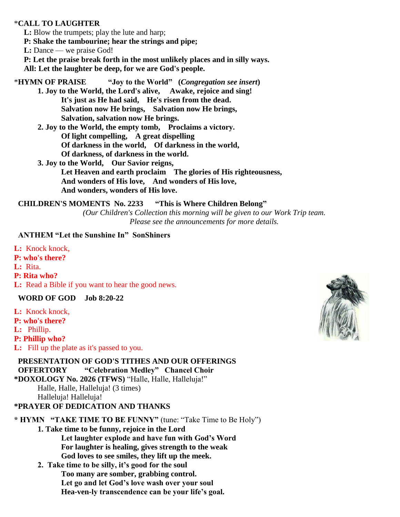# \***CALL TO LAUGHTER**

 **L:** Blow the trumpets; play the lute and harp;

 **P: Shake the tambourine; hear the strings and pipe;**

**L:** Dance — we praise God!

 **P: Let the praise break forth in the most unlikely places and in silly ways.**

 **All: Let the laughter be deep, for we are God's people.**

\***HYMN OF PRAISE "Joy to the World" (***Congregation see insert***) 1. Joy to the World, the Lord's alive, Awake, rejoice and sing! It's just as He had said, He's risen from the dead. Salvation now He brings, Salvation now He brings, Salvation, salvation now He brings.**

**2. Joy to the World, the empty tomb, Proclaims a victory. Of light compelling, A great dispelling Of darkness in the world, Of darkness in the world, Of darkness, of darkness in the world.**

**3. Joy to the World, Our Savior reigns, Let Heaven and earth proclaim The glories of His righteousness, And wonders of His love, And wonders of His love, And wonders, wonders of His love.**

 **CHILDREN'S MOMENTS No. 2233 "This is Where Children Belong"** *(Our Children's Collection this morning will be given to our Work Trip team. Please see the announcements for more details.*

## **ANTHEM "Let the Sunshine In" SonShiners**

**L:** Knock knock, **P: who's there? L:** Rita. **P: Rita who? L:** Read a Bible if you want to hear the good news.

 **WORD OF GOD Job 8:20-22**

**L:** Knock knock,

**P: who's there?**

**L:** Phillip.

**P: Phillip who?**

**L:** Fill up the plate as it's passed to you.

# **PRESENTATION OF GOD'S TITHES AND OUR OFFERINGS OFFERTORY "Celebration Medley" Chancel Choir**

**\*DOXOLOGY No. 2026 (TFWS)** "Halle, Halle, Halleluja!" Halle, Halle, Halleluja! (3 times)

Halleluja! Halleluja!

# **\*PRAYER OF DEDICATION AND THANKS**

# **\* HYMN "TAKE TIME TO BE FUNNY"** (tune: "Take Time to Be Holy") **1. Take time to be funny, rejoice in the Lord Let laughter explode and have fun with God's Word**

**For laughter is healing, gives strength to the weak God loves to see smiles, they lift up the meek.** 

**2. Take time to be silly, it's good for the soul Too many are somber, grabbing control. Let go and let God's love wash over your soul Hea-ven-ly transcendence can be your life's goal.** 

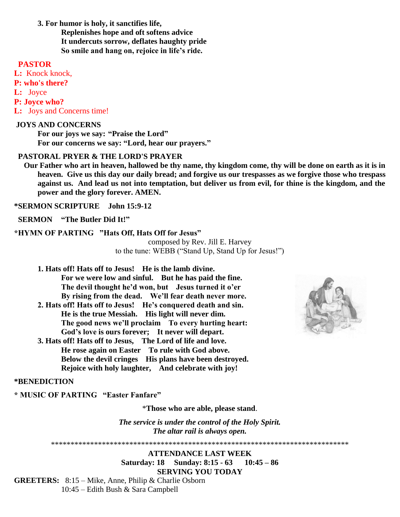**3. For humor is holy, it sanctifies life, Replenishes hope and oft softens advice It undercuts sorrow, deflates haughty pride So smile and hang on, rejoice in life's ride.**

# **PASTOR**

**L:** Knock knock, **P: who's there? L:** Joyce **P: Joyce who? L:** Joys and Concerns time!

#### **JOYS AND CONCERNS**

**For our joys we say: "Praise the Lord" For our concerns we say: "Lord, hear our prayers."**

# **PASTORAL PRYER & THE LORD'S PRAYER**

 **Our Father who art in heaven, hallowed be thy name, thy kingdom come, thy will be done on earth as it is in heaven. Give us this day our daily bread; and forgive us our trespasses as we forgive those who trespass against us. And lead us not into temptation, but deliver us from evil, for thine is the kingdom, and the power and the glory forever. AMEN.**

**\*SERMON SCRIPTURE John 15:9-12**

 **SERMON "The Butler Did It!"**

#### **\*HYMN OF PARTING "Hats Off, Hats Off for Jesus"**

composed by Rev. Jill E. Harvey to the tune: WEBB ("Stand Up, Stand Up for Jesus!")

- **1. Hats off! Hats off to Jesus! He is the lamb divine. For we were low and sinful. But he has paid the fine. The devil thought he'd won, but Jesus turned it o'er By rising from the dead. We'll fear death never more.**
- **2. Hats off! Hats off to Jesus! He's conquered death and sin. He is the true Messiah. His light will never dim. The good news we'll proclaim To every hurting heart: God's love is ours forever; It never will depart.**
- **3. Hats off! Hats off to Jesus, The Lord of life and love. He rose again on Easter To rule with God above. Below the devil cringes His plans have been destroyed. Rejoice with holy laughter, And celebrate with joy!**



#### **\*BENEDICTION**

**\* MUSIC OF PARTING "Easter Fanfare"**

\***Those who are able, please stand**.

*The service is under the control of the Holy Spirit. The altar rail is always open.*

\*\*\*\*\*\*\*\*\*\*\*\*\*\*\*\*\*\*\*\*\*\*\*\*\*\*\*\*\*\*\*\*\*\*\*\*\*\*\*\*\*\*\*\*\*\*\*\*\*\*\*\*\*\*\*\*\*\*\*\*\*\*\*\*\*\*\*\*\*\*\*\*\*\*\*\*

**ATTENDANCE LAST WEEK Saturday: 18 Sunday: 8:15 - 63 10:45 – 86 SERVING YOU TODAY**

**GREETERS:** 8:15 – Mike, Anne, Philip & Charlie Osborn 10:45 – Edith Bush & Sara Campbell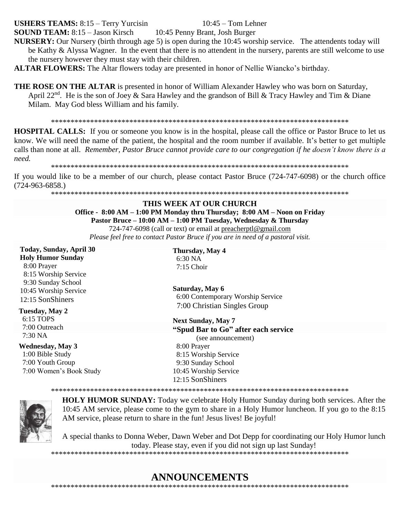# **USHERS TEAMS:**  $8:15$  – Terry Yurcisin

 $10:45$  – Tom Lehner

**SOUND TEAM:** 8:15 - Jason Kirsch 10:45 Penny Brant, Josh Burger

- NURSERY: Our Nursery (birth through age 5) is open during the 10:45 worship service. The attendents today will be Kathy & Alyssa Wagner. In the event that there is no attendent in the nursery, parents are still welcome to use the nursery however they must stay with their children.
- **ALTAR FLOWERS:** The Altar flowers today are presented in honor of Nellie Wiancko's birthday.
- **THE ROSE ON THE ALTAR** is presented in honor of William Alexander Hawley who was born on Saturday, April 22<sup>nd</sup>. He is the son of Joey & Sara Hawley and the grandson of Bill & Tracy Hawley and Tim & Diane Milam. May God bless William and his family.

**HOSPITAL CALLS:** If you or someone you know is in the hospital, please call the office or Pastor Bruce to let us know. We will need the name of the patient, the hospital and the room number if available. It's better to get multiple calls than none at all. Remember, Pastor Bruce cannot provide care to our congregation if he doesn't know there is a need.

If you would like to be a member of our church, please contact Pastor Bruce (724-747-6098) or the church office  $(724-963-6858.)$ 

#### THIS WEEK AT OUR CHURCH Office - 8:00 AM - 1:00 PM Monday thru Thursday; 8:00 AM - Noon on Friday Pastor Bruce - 10:00 AM - 1:00 PM Tuesday, Wednesday & Thursday

724-747-6098 (call or text) or email at preacherptl@gmail.com

Please feel free to contact Pastor Bruce if you are in need of a pastoral visit.

| Today, Sunday, April 30                                                                      | Thursday, May 4                     |
|----------------------------------------------------------------------------------------------|-------------------------------------|
| <b>Holy Humor Sunday</b>                                                                     | 6:30 NA                             |
| 8:00 Prayer                                                                                  | $7:15$ Choir                        |
| 8:15 Worship Service                                                                         |                                     |
| 9:30 Sunday School                                                                           |                                     |
|                                                                                              |                                     |
|                                                                                              | 6:00 Contemporary Worship Service   |
|                                                                                              | 7:00 Christian Singles Group        |
|                                                                                              |                                     |
|                                                                                              | <b>Next Sunday, May 7</b>           |
| 7:00 Outreach                                                                                | "Spud Bar to Go" after each service |
|                                                                                              | (see announcement)                  |
| <b>Wednesday, May 3</b>                                                                      | 8:00 Prayer                         |
| 1:00 Bible Study                                                                             | 8:15 Worship Service                |
| 7:00 Youth Group                                                                             | 9:30 Sunday School                  |
| 7:00 Women's Book Study                                                                      | 10:45 Worship Service               |
|                                                                                              | 12:15 SonShiners                    |
| 10:45 Worship Service<br>12:15 SonShiners<br>Tuesday, May 2<br>6:15 TOPS<br>$7:30\text{ NA}$ | Saturday, May 6                     |





**HOLY HUMOR SUNDAY:** Today we celebrate Holy Humor Sunday during both services. After the 10:45 AM service, please come to the gym to share in a Holy Humor luncheon. If you go to the 8:15 AM service, please return to share in the fun! Jesus lives! Be joyful!

A special thanks to Donna Weber, Dawn Weber and Dot Depp for coordinating our Holy Humor lunch today. Please stay, even if you did not sign up last Sunday! 

# **ANNOUNCEMENTS**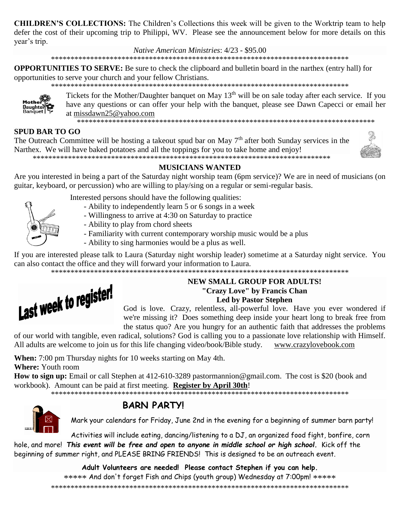**CHILDREN'S COLLECTIONS:** The Children's Collections this week will be given to the Worktrip team to help defer the cost of their upcoming trip to Philippi, WV. Please see the announcement below for more details on this vear's trip.

Native American Ministries: 4/23 - \$95.00

**OPPORTUNITIES TO SERVE:** Be sure to check the clipboard and bulletin board in the narthex (entry hall) for opportunities to serve your church and your fellow Christians.



Tickets for the Mother/Daughter banquet on May 13<sup>th</sup> will be on sale today after each service. If you have any questions or can offer your help with the banquet, please see Dawn Capecci or email her at missdawn25@vahoo.com

# **SPUD BAR TO GO**

The Outreach Committee will be hosting a takeout spud bar on May  $7<sup>th</sup>$  after both Sunday services in the Narthex. We will have baked potatoes and all the toppings for you to take home and enjoy! 



# **MUSICIANS WANTED**

Are you interested in being a part of the Saturday night worship team (6pm service)? We are in need of musicians (on guitar, keyboard, or percussion) who are willing to play/sing on a regular or semi-regular basis.



Interested persons should have the following qualities:

- Ability to independently learn 5 or 6 songs in a week
- Willingness to arrive at 4:30 on Saturday to practice
- Ability to play from chord sheets
- Familiarity with current contemporary worship music would be a plus
- Ability to sing harmonies would be a plus as well.

If you are interested please talk to Laura (Saturday night worship leader) sometime at a Saturday night service. You can also contact the office and they will forward your information to Laura.



# **NEW SMALL GROUP FOR ADULTS!** "Crazy Love" by Francis Chan **Led by Pastor Stephen**

God is love. Crazy, relentless, all-powerful love. Have you ever wondered if we're missing it? Does something deep inside your heart long to break free from the status quo? Are you hungry for an authentic faith that addresses the problems

of our world with tangible, even radical, solutions? God is calling you to a passionate love relationship with Himself. All adults are welcome to join us for this life changing video/book/Bible study. www.crazylovebook.com

When: 7:00 pm Thursday nights for 10 weeks starting on May 4th.

**Where:** Youth room

How to sign up: Email or call Stephen at 412-610-3289 pastormannion@gmail.com. The cost is \$20 (book and workbook). Amount can be paid at first meeting. Register by April 30th!



# **BARN PARTY!**

Mark your calendars for Friday, June 2nd in the evening for a beginning of summer barn party!

Activities will include eating, dancing/listening to a DJ, an organized food fight, bonfire, corn hole, and more! This event will be free and open to anyone in middle school or high school. Kick off the beginning of summer right, and PLEASE BRING FRIENDS! This is designed to be an outreach event.

> Adult Volunteers are needed! Please contact Stephen if you can help. \*\*\*\*\* And don't forget Fish and Chips (youth group) Wednesday at 7:00pm! \*\*\*\*\*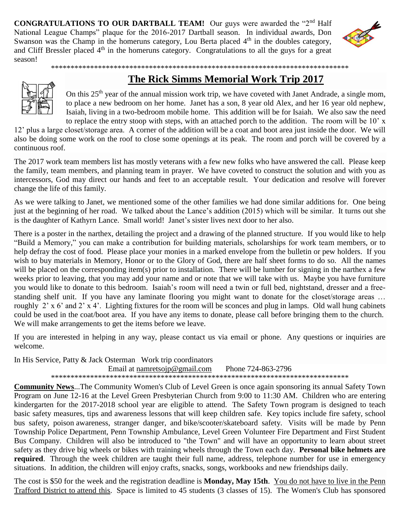**CONGRATULATIONS TO OUR DARTBALL TEAM!** Our guys were awarded the "2<sup>nd</sup> Half National League Champs" plaque for the 2016-2017 Dartball season. In individual awards, Don Swanson was the Champ in the homeruns category, Lou Berta placed  $4<sup>th</sup>$  in the doubles category, and Cliff Bressler placed  $4<sup>th</sup>$  in the homeruns category. Congratulations to all the guys for a great season!



# **The Rick Simms Memorial Work Trip 2017**

On this 25<sup>th</sup> year of the annual mission work trip, we have coveted with Janet Andrade, a single mom, to place a new bedroom on her home. Janet has a son, 8 year old Alex, and her 16 year old nephew, Isaiah, living in a two-bedroom mobile home. This addition will be for Isaiah. We also saw the need to replace the entry stoop with steps, with an attached porch to the addition. The room will be 10' x

12' plus a large closet/storage area. A corner of the addition will be a coat and boot area just inside the door. We will also be doing some work on the roof to close some openings at its peak. The room and porch will be covered by a continuous roof.

\*\*\*\*\*\*\*\*\*\*\*\*\*\*\*\*\*\*\*\*\*\*\*\*\*\*\*\*\*\*\*\*\*\*\*\*\*\*\*\*\*\*\*\*\*\*\*\*\*\*\*\*\*\*\*\*\*\*\*\*\*\*\*\*\*\*\*\*\*\*\*\*\*\*\*\*

The 2017 work team members list has mostly veterans with a few new folks who have answered the call. Please keep the family, team members, and planning team in prayer. We have coveted to construct the solution and with you as intercessors, God may direct our hands and feet to an acceptable result. Your dedication and resolve will forever change the life of this family.

As we were talking to Janet, we mentioned some of the other families we had done similar additions for. One being just at the beginning of her road. We talked about the Lance's addition (2015) which will be similar. It turns out she is the daughter of Kathyrn Lance. Small world! Janet's sister lives next door to her also.

There is a poster in the narthex, detailing the project and a drawing of the planned structure. If you would like to help "Build a Memory," you can make a contribution for building materials, scholarships for work team members, or to help defray the cost of food. Please place your monies in a marked envelope from the bulletin or pew holders. If you wish to buy materials in Memory, Honor or to the Glory of God, there are half sheet forms to do so. All the names will be placed on the corresponding item(s) prior to installation. There will be lumber for signing in the narthex a few weeks prior to leaving, that you may add your name and or note that we will take with us. Maybe you have furniture you would like to donate to this bedroom. Isaiah's room will need a twin or full bed, nightstand, dresser and a freestanding shelf unit. If you have any laminate flooring you might want to donate for the closet/storage areas … roughly 2' x 6' and 2' x 4'. Lighting fixtures for the room will be sconces and plug in lamps. Old wall hung cabinets could be used in the coat/boot area. If you have any items to donate, please call before bringing them to the church. We will make arrangements to get the items before we leave.

If you are interested in helping in any way, please contact us via email or phone. Any questions or inquiries are welcome.

In His Service, Patty & Jack Osterman Work trip coordinators Email at namretsoin@gmail.com Phone 724-863-2796 \*\*\*\*\*\*\*\*\*\*\*\*\*\*\*\*\*\*\*\*\*\*\*\*\*\*\*\*\*\*\*\*\*\*\*\*\*\*\*\*\*\*\*\*\*\*\*\*\*\*\*\*\*\*\*\*\*\*\*\*\*\*\*\*\*\*\*\*\*\*\*\*\*\*\*\*

**Community News**...The Community Women's Club of Level Green is once again sponsoring its annual Safety Town Program on June 12-16 at the Level Green Presbyterian Church from 9:00 to 11:30 AM. Children who are entering kindergarten for the 2017-2018 school year are eligible to attend. The Safety Town program is designed to teach basic safety measures, tips and awareness lessons that will keep children safe. Key topics include fire safety, school bus safety, poison awareness, stranger danger, and bike/scooter/skateboard safety. Visits will be made by Penn Township Police Department, Penn Township Ambulance, Level Green Volunteer Fire Department and First Student Bus Company. Children will also be introduced to "the Town" and will have an opportunity to learn about street safety as they drive big wheels or bikes with training wheels through the Town each day. **Personal bike helmets are required**. Through the week children are taught their full name, address, telephone number for use in emergency situations. In addition, the children will enjoy crafts, snacks, songs, workbooks and new friendships daily.

The cost is \$50 for the week and the registration deadline is **Monday, May 15th**. You do not have to live in the Penn Trafford District to attend this. Space is limited to 45 students (3 classes of 15). The Women's Club has sponsored